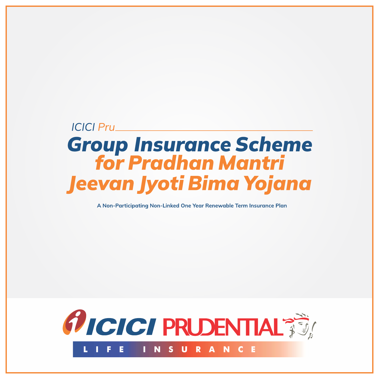# **ICICI Pru Group Insurance Scheme<br>for Pradhan Mantri** Jeevan Jyoti Bima Yojana

A Non-Participating Non-Linked One Year Renewable Term Insurance Plan

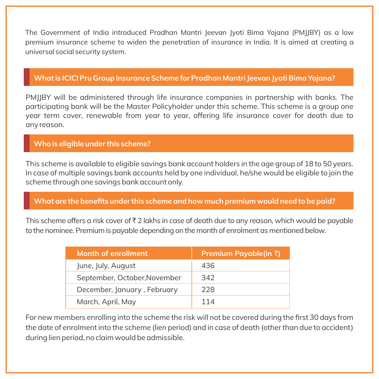The Government of India introduced Pradhan Mantri Jeevan Jyoti Bima Yojana (PMJJBY) as a low premium insurance scheme to widen the penetration of insurance in India. It is aimed at creating a universal social security system.

#### **What is ICICI Pru Group Insurance Scheme for Pradhan Mantri Jeevan Jyoti Bima Yojana?**

PMJJBY will be administered through life insurance companies in partnership with banks. The participating bank will be the Master Policyholder under this scheme. This scheme is a group one year term cover, renewable from year to year, offering life insurance cover for death due to any reason.

#### **Who is eligible under this scheme?**

This scheme is available to eligible savings bank account holders in the age group of 18 to 50 years. In case of multiple savings bank accounts held by one individual, he/she would be eligible to join the scheme through one savings bank account only.

#### **What are the benefits under this scheme and how much premium would need to be paid?**

This scheme offers a risk cover of  $\bar{\tau}$  2 lakhs in case of death due to any reason, which would be payable to the nominee. Premium is payable depending on the month of enrolment as mentioned below.

| Month of enrollment          | Premium Payable(in ₹) |
|------------------------------|-----------------------|
| June, July, August           | 436                   |
| September, October, November | 342                   |
| December, January, February  | 228                   |
| March, April, May            | 114                   |

For new members enrolling into the scheme the risk will not be covered during the first 30 days from the date of enrolment into the scheme (lien period) and in case of death (other than due to accident) during lien period, no claim would be admissible.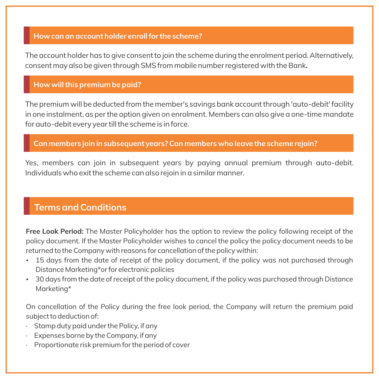#### **How can an account holder enroll for the scheme?**

The account holder has to give consent to join the scheme during the enrolment period. Alternatively, consent may also be given through SMS from mobile number registered with the Bank**..**

#### **How will this premium be paid?**

The premium will be deducted from the member's savings bank account through 'auto-debit' facility in one instalment, as per the option given on enrolment. Members can also give a one-time mandate for auto-debit every year till the scheme is in force.

#### **Can members join in subsequent years? Can members who leave the scheme rejoin?**

Yes, members can join in subsequent years by paying annual premium through auto-debit. Individuals who exit the scheme can also rejoin in a similar manner.

## **Terms and Conditions**

**Free Look Period:** The Master Policyholder has the option to review the policy following receipt of the policy document. If the Master Policyholder wishes to cancel the policy the policy document needs to be returned to the Company with reasons for cancellation of the policy within:

- 15 days from the date of receipt of the policy document, if the policy was not purchased through Distance Marketing\*or for electronic policies
- \* 30 days from the date of receipt of the policy document, if the policy was purchased through Distance Marketing\*

On cancellation of the Policy during the free look period, the Company will return the premium paid subject to deduction of:

- · Stamp duty paid under the Policy, if any
- · Expenses borne by the Company, if any
- · Proportionate risk premium for the period of cover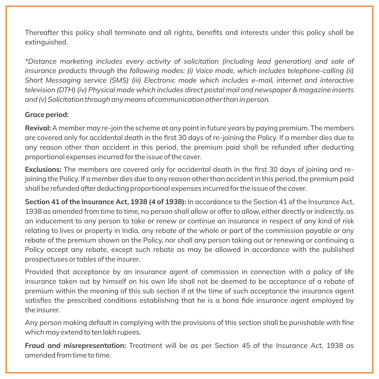Thereafter this policy shall terminate and all rights, benefits and interests under this policy shall be extinguished.

*\*Distance marketing includes every activity of solicitation (including lead generation) and sale of insurance products through the following modes: (i) Voice mode, which includes telephone-calling (ii) Short Messaging service (SMS) (iii) Electronic mode which includes e-mail, internet and interactive television (DTH) (iv) Physical mode which includes direct postal mail and newspaper & magazine inserts and (v) Solicitation through any means of communication other than in person.*

#### **Grace period:**

**Revival:** A member may re-join the scheme at any point in future years by paying premium. The members are covered only for accidental death in the first 30 days of re-joining the Policy. If a member dies due to any reason other than accident in this period, the premium paid shall be refunded after deducting proportional expenses incurred for the issue of the cover.

**Exclusions:** The members are covered only for accidental death in the first 30 days of joining and rejoining the Policy. If a member dies due to any reason other than accident in this period, the premium paid shall be refunded after deducting proportional expenses incurred for the issue of the cover.

**Section 41 of the Insurance Act, 1938 (4 of 1938):** In accordance to the Section 41 of the Insurance Act, 1938 as amended from time to time, no person shall allow or offer to allow, either directly or indirectly, as an inducement to any person to take or renew or continue an insurance in respect of any kind of risk relating to lives or property in India, any rebate of the whole or part of the commission payable or any rebate of the premium shown on the Policy, nor shall any person taking out or renewing or continuing a Policy accept any rebate, except such rebate as may be allowed in accordance with the published prospectuses or tables of the insurer.

Provided that acceptance by an insurance agent of commission in connection with a policy of life insurance taken out by himself on his own life shall not be deemed to be acceptance of a rebate of premium within the meaning of this sub section if at the time of such acceptance the insurance agent satisfies the prescribed conditions establishing that he is a bona fide insurance agent employed by the insurer.

Any person making default in complying with the provisions of this section shall be punishable with fine which may extend to ten lakh rupees.

**Fraud and misrepresentation:** Treatment will be as per Section 45 of the Insurance Act, 1938 as amended from time to time.